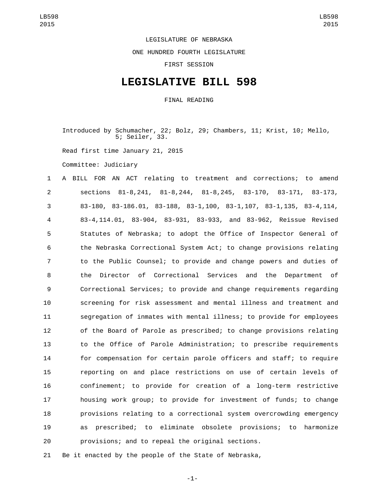LEGISLATURE OF NEBRASKA

ONE HUNDRED FOURTH LEGISLATURE

FIRST SESSION

## **LEGISLATIVE BILL 598**

FINAL READING

Introduced by Schumacher, 22; Bolz, 29; Chambers, 11; Krist, 10; Mello, 5; Seiler, 33. Read first time January 21, 2015 Committee: Judiciary

 A BILL FOR AN ACT relating to treatment and corrections; to amend sections 81-8,241, 81-8,244, 81-8,245, 83-170, 83-171, 83-173, 83-180, 83-186.01, 83-188, 83-1,100, 83-1,107, 83-1,135, 83-4,114, 83-4,114.01, 83-904, 83-931, 83-933, and 83-962, Reissue Revised Statutes of Nebraska; to adopt the Office of Inspector General of the Nebraska Correctional System Act; to change provisions relating to the Public Counsel; to provide and change powers and duties of the Director of Correctional Services and the Department of Correctional Services; to provide and change requirements regarding screening for risk assessment and mental illness and treatment and segregation of inmates with mental illness; to provide for employees of the Board of Parole as prescribed; to change provisions relating to the Office of Parole Administration; to prescribe requirements for compensation for certain parole officers and staff; to require reporting on and place restrictions on use of certain levels of confinement; to provide for creation of a long-term restrictive housing work group; to provide for investment of funds; to change provisions relating to a correctional system overcrowding emergency as prescribed; to eliminate obsolete provisions; to harmonize provisions; and to repeal the original sections.

Be it enacted by the people of the State of Nebraska,

-1-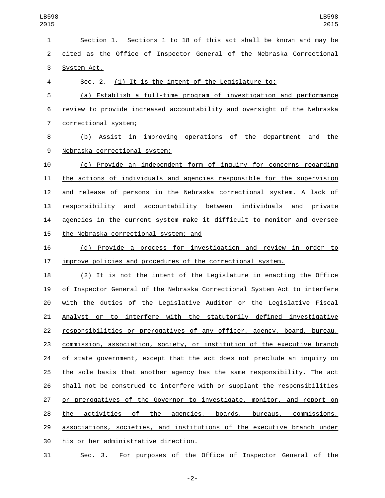| 1              | Section 1. Sections 1 to 18 of this act shall be known and may be         |
|----------------|---------------------------------------------------------------------------|
| $\overline{c}$ | cited as the Office of Inspector General of the Nebraska Correctional     |
| 3              | System Act.                                                               |
| 4              | Sec. 2. (1) It is the intent of the Legislature to:                       |
| 5              | (a) Establish a full-time program of investigation and performance        |
| 6              | review to provide increased accountability and oversight of the Nebraska  |
| $\overline{7}$ | correctional system;                                                      |
| 8              | (b) Assist in improving operations of the department and the              |
| 9              | Nebraska correctional system;                                             |
| 10             | (c) Provide an independent form of inquiry for concerns regarding         |
| 11             | the actions of individuals and agencies responsible for the supervision   |
| 12             | and release of persons in the Nebraska correctional system. A lack of     |
| 13             | responsibility and accountability between individuals and<br>private      |
| 14             | agencies in the current system make it difficult to monitor and oversee   |
| 15             | the Nebraska correctional system; and                                     |
| 16             | (d) Provide a process for investigation and review in order to            |
| 17             | improve policies and procedures of the correctional system.               |
| 18             | (2) It is not the intent of the Legislature in enacting the Office        |
| 19             | of Inspector General of the Nebraska Correctional System Act to interfere |
| 20             | with the duties of the Legislative Auditor or the Legislative Fiscal      |
| 21             | Analyst or to interfere with the statutorily defined investigative        |
| 22             | responsibilities or prerogatives of any officer, agency, board, bureau,   |
| 23             | commission, association, society, or institution of the executive branch  |
| 24             | of state government, except that the act does not preclude an inquiry on  |
| 25             | the sole basis that another agency has the same responsibility. The act   |
| 26             | shall not be construed to interfere with or supplant the responsibilities |
| 27             | or prerogatives of the Governor to investigate, monitor, and report on    |
| 28             | the activities of the agencies, boards, bureaus, commissions,             |
| 29             | associations, societies, and institutions of the executive branch under   |
| 30             | his or her administrative direction.                                      |
| 31             | For purposes of the Office of Inspector General of the<br>Sec. 3.         |

-2-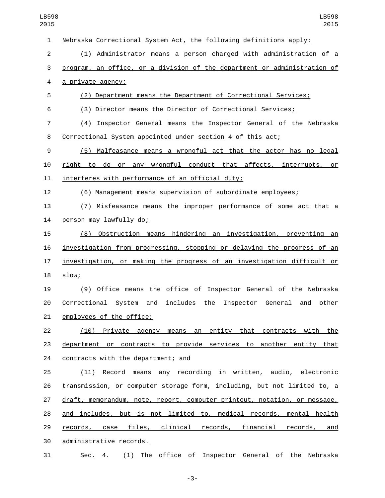| $\mathbf{1}$   | Nebraska Correctional System Act, the following definitions apply:        |
|----------------|---------------------------------------------------------------------------|
| $\overline{2}$ | (1) Administrator means a person charged with administration of a         |
| 3              | program, an office, or a division of the department or administration of  |
| 4              | <u>a private agency;</u>                                                  |
| 5              | (2) Department means the Department of Correctional Services;             |
| 6              | (3) Director means the Director of Correctional Services;                 |
| $\overline{7}$ | (4) Inspector General means the Inspector General of the Nebraska         |
| 8              | Correctional System appointed under section 4 of this act;                |
| 9              | (5) Malfeasance means a wrongful act that the actor has no legal          |
| 10             | right to do or any wrongful conduct that affects, interrupts, or          |
| 11             | interferes with performance of an official duty;                          |
| 12             | (6) Management means supervision of subordinate employees;                |
| 13             | (7) Misfeasance means the improper performance of some act that a         |
| 14             | person may lawfully do;                                                   |
| 15             | (8) Obstruction means hindering an investigation, preventing<br>an        |
| 16             | investigation from progressing, stopping or delaying the progress of an   |
| 17             | investigation, or making the progress of an investigation difficult or    |
| 18             | slow;                                                                     |
| 19             | (9) Office means the office of Inspector General of the Nebraska          |
| 20             | Correctional System and includes the Inspector General and<br>other       |
| 21             | employees of the office;                                                  |
| 22             | (10) Private agency means an entity that contracts with the               |
| 23             | department or contracts to provide services to another entity that        |
| 24             | contracts with the department; and                                        |
| 25             | (11) Record means any recording in written, audio, electronic             |
| 26             | transmission, or computer storage form, including, but not limited to, a  |
| 27             | draft, memorandum, note, report, computer printout, notation, or message, |
| 28             | and includes, but is not limited to, medical records, mental health       |
| 29             | records, case files, clinical records, financial records, and             |
| 30             | administrative records.                                                   |
| 31             | (1) The office of Inspector General of the Nebraska<br>Sec. 4.            |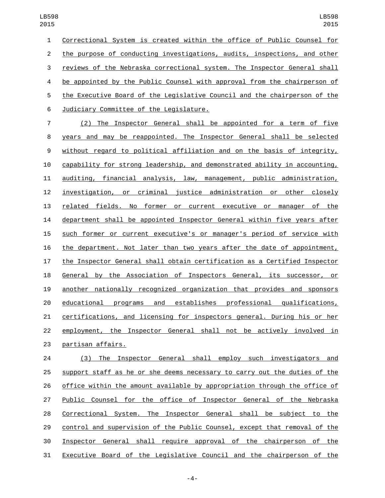Correctional System is created within the office of Public Counsel for the purpose of conducting investigations, audits, inspections, and other reviews of the Nebraska correctional system. The Inspector General shall 4 be appointed by the Public Counsel with approval from the chairperson of the Executive Board of the Legislative Council and the chairperson of the Judiciary Committee of the Legislature.6

 (2) The Inspector General shall be appointed for a term of five years and may be reappointed. The Inspector General shall be selected without regard to political affiliation and on the basis of integrity, capability for strong leadership, and demonstrated ability in accounting, auditing, financial analysis, law, management, public administration, investigation, or criminal justice administration or other closely related fields. No former or current executive or manager of the department shall be appointed Inspector General within five years after such former or current executive's or manager's period of service with the department. Not later than two years after the date of appointment, the Inspector General shall obtain certification as a Certified Inspector General by the Association of Inspectors General, its successor, or another nationally recognized organization that provides and sponsors educational programs and establishes professional qualifications, certifications, and licensing for inspectors general. During his or her employment, the Inspector General shall not be actively involved in 23 partisan affairs.

 (3) The Inspector General shall employ such investigators and support staff as he or she deems necessary to carry out the duties of the office within the amount available by appropriation through the office of Public Counsel for the office of Inspector General of the Nebraska Correctional System. The Inspector General shall be subject to the control and supervision of the Public Counsel, except that removal of the Inspector General shall require approval of the chairperson of the Executive Board of the Legislative Council and the chairperson of the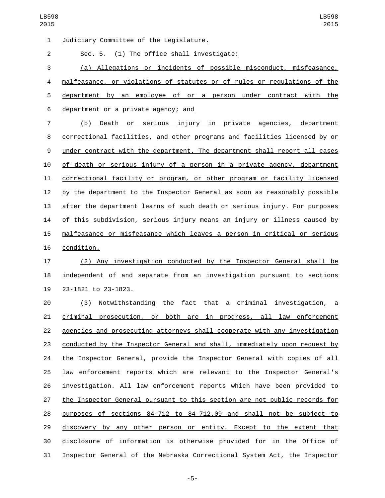| $\mathbf{1}$   | Judiciary Committee of the Legislature.                                   |
|----------------|---------------------------------------------------------------------------|
| $\overline{2}$ | Sec. 5. (1) The office shall investigate:                                 |
| 3              | (a) Allegations or incidents of possible misconduct, misfeasance,         |
| 4              | malfeasance, or violations of statutes or of rules or regulations of the  |
| 5              | department by an employee of or a person under contract with the          |
| 6              | department or a private agency; and                                       |
| $\overline{7}$ | (b)<br>Death or serious injury in private agencies, department            |
| 8              | correctional facilities, and other programs and facilities licensed by or |
| 9              | under contract with the department. The department shall report all cases |
| 10             | of death or serious injury of a person in a private agency, department    |
| 11             | correctional facility or program, or other program or facility licensed   |
| 12             | by the department to the Inspector General as soon as reasonably possible |
| 13             | after the department learns of such death or serious injury. For purposes |
| 14             | of this subdivision, serious injury means an injury or illness caused by  |
| 15             | malfeasance or misfeasance which leaves a person in critical or serious   |
| 16             | condition.                                                                |
| 17             | (2) Any investigation conducted by the Inspector General shall be         |
| 18             | independent of and separate from an investigation pursuant to sections    |
| 19             | 23-1821 to 23-1823.                                                       |
| 20             | Notwithstanding the fact that a criminal investigation, a<br>(3)          |
| 21             | criminal prosecution, or both are in progress, all law enforcement        |
| 22             | agencies and prosecuting attorneys shall cooperate with any investigation |
| 23             | conducted by the Inspector General and shall, immediately upon request by |
| 24             | the Inspector General, provide the Inspector General with copies of all   |
| 25             | law enforcement reports which are relevant to the Inspector General's     |
| 26             | investigation. All law enforcement reports which have been provided to    |
| 27             | the Inspector General pursuant to this section are not public records for |
| 28             | purposes of sections 84-712 to 84-712.09 and shall not be subject to      |
| 29             | discovery by any other person or entity. Except to the extent that        |
| 30             | disclosure of information is otherwise provided for in the Office of      |
| 31             | Inspector General of the Nebraska Correctional System Act, the Inspector  |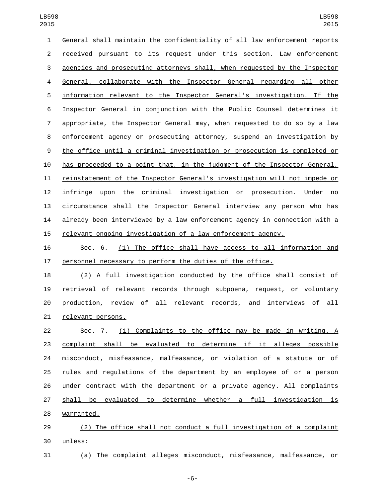General shall maintain the confidentiality of all law enforcement reports received pursuant to its request under this section. Law enforcement agencies and prosecuting attorneys shall, when requested by the Inspector General, collaborate with the Inspector General regarding all other information relevant to the Inspector General's investigation. If the Inspector General in conjunction with the Public Counsel determines it appropriate, the Inspector General may, when requested to do so by a law enforcement agency or prosecuting attorney, suspend an investigation by the office until a criminal investigation or prosecution is completed or has proceeded to a point that, in the judgment of the Inspector General, reinstatement of the Inspector General's investigation will not impede or infringe upon the criminal investigation or prosecution. Under no circumstance shall the Inspector General interview any person who has already been interviewed by a law enforcement agency in connection with a relevant ongoing investigation of a law enforcement agency.

 Sec. 6. (1) The office shall have access to all information and personnel necessary to perform the duties of the office.

 (2) A full investigation conducted by the office shall consist of retrieval of relevant records through subpoena, request, or voluntary production, review of all relevant records, and interviews of all 21 relevant persons.

 Sec. 7. (1) Complaints to the office may be made in writing. A complaint shall be evaluated to determine if it alleges possible 24 misconduct, misfeasance, malfeasance, or violation of a statute or of rules and regulations of the department by an employee of or a person under contract with the department or a private agency. All complaints shall be evaluated to determine whether a full investigation is 28 warranted.

 (2) The office shall not conduct a full investigation of a complaint unless:30

(a) The complaint alleges misconduct, misfeasance, malfeasance, or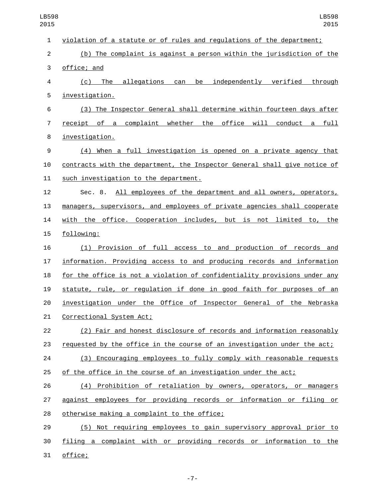| $\mathbf{1}$   | violation of a statute or of rules and regulations of the department;     |
|----------------|---------------------------------------------------------------------------|
| $\overline{2}$ | (b) The complaint is against a person within the jurisdiction of the      |
| 3              | office; and                                                               |
| 4              | (c) The allegations can be independently verified through                 |
| 5              | investigation.                                                            |
| 6              | (3) The Inspector General shall determine within fourteen days after      |
| $\overline{7}$ | receipt of a complaint whether the office will conduct a full             |
| 8              | investigation.                                                            |
| 9              | (4) When a full investigation is opened on a private agency that          |
| 10             | contracts with the department, the Inspector General shall give notice of |
| 11             | such investigation to the department.                                     |
| 12             | Sec. 8. All employees of the department and all owners, operators,        |
| 13             | managers, supervisors, and employees of private agencies shall cooperate  |
| 14             | with the office. Cooperation includes, but is not limited to, the         |
| 15             | following:                                                                |
| 16             | (1) Provision of full access to and production of records and             |
| 17             | information. Providing access to and producing records and information    |
| 18             | for the office is not a violation of confidentiality provisions under any |
| 19             | statute, rule, or regulation if done in good faith for purposes of an     |
| 20             | investigation under the Office of Inspector General of the Nebraska       |
| 21             | <u>Correctional System Act;</u>                                           |
| 22             | (2) Fair and honest disclosure of records and information reasonably      |
| 23             | requested by the office in the course of an investigation under the act;  |
| 24             | (3) Encouraging employees to fully comply with reasonable requests        |
| 25             | of the office in the course of an investigation under the act;            |
| 26             | (4) Prohibition of retaliation by owners, operators, or managers          |
| 27             | against employees for providing records or information or filing or       |
| 28             | otherwise making a complaint to the office;                               |
| 29             | (5) Not requiring employees to gain supervisory approval prior to         |
| 30             | filing a complaint with or providing records or information to the        |
| 31             | office;                                                                   |
|                |                                                                           |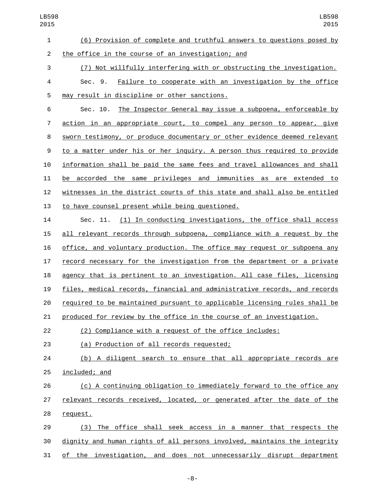2 the office in the course of an investigation; and

(7) Not willfully interfering with or obstructing the investigation.

 Sec. 9. Failure to cooperate with an investigation by the office 5 may result in discipline or other sanctions.

 Sec. 10. The Inspector General may issue a subpoena, enforceable by 7 action in an appropriate court, to compel any person to appear, give sworn testimony, or produce documentary or other evidence deemed relevant to a matter under his or her inquiry. A person thus required to provide information shall be paid the same fees and travel allowances and shall be accorded the same privileges and immunities as are extended to witnesses in the district courts of this state and shall also be entitled 13 to have counsel present while being questioned.

 Sec. 11. (1) In conducting investigations, the office shall access all relevant records through subpoena, compliance with a request by the office, and voluntary production. The office may request or subpoena any record necessary for the investigation from the department or a private agency that is pertinent to an investigation. All case files, licensing files, medical records, financial and administrative records, and records required to be maintained pursuant to applicable licensing rules shall be produced for review by the office in the course of an investigation.

(2) Compliance with a request of the office includes:

(a) Production of all records requested;23

 (b) A diligent search to ensure that all appropriate records are 25 included; and

 (c) A continuing obligation to immediately forward to the office any relevant records received, located, or generated after the date of the 28 request.

 (3) The office shall seek access in a manner that respects the dignity and human rights of all persons involved, maintains the integrity of the investigation, and does not unnecessarily disrupt department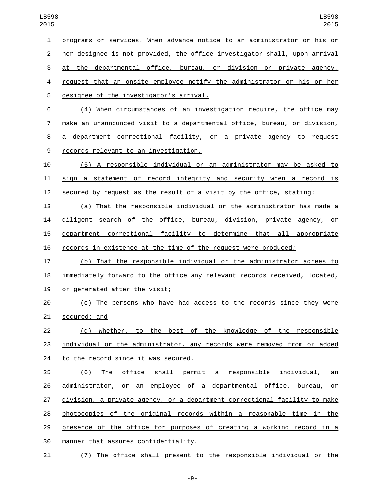programs or services. When advance notice to an administrator or his or her designee is not provided, the office investigator shall, upon arrival at the departmental office, bureau, or division or private agency, request that an onsite employee notify the administrator or his or her 5 designee of the investigator's arrival. (4) When circumstances of an investigation require, the office may make an unannounced visit to a departmental office, bureau, or division, a department correctional facility, or a private agency to request 9 records relevant to an investigation. (5) A responsible individual or an administrator may be asked to sign a statement of record integrity and security when a record is secured by request as the result of a visit by the office, stating: (a) That the responsible individual or the administrator has made a diligent search of the office, bureau, division, private agency, or department correctional facility to determine that all appropriate records in existence at the time of the request were produced; (b) That the responsible individual or the administrator agrees to immediately forward to the office any relevant records received, located, 19 or generated after the visit; (c) The persons who have had access to the records since they were 21 secured; and (d) Whether, to the best of the knowledge of the responsible individual or the administrator, any records were removed from or added 24 to the record since it was secured. (6) The office shall permit a responsible individual, an administrator, or an employee of a departmental office, bureau, or division, a private agency, or a department correctional facility to make photocopies of the original records within a reasonable time in the presence of the office for purposes of creating a working record in a 30 manner that assures confidentiality. (7) The office shall present to the responsible individual or the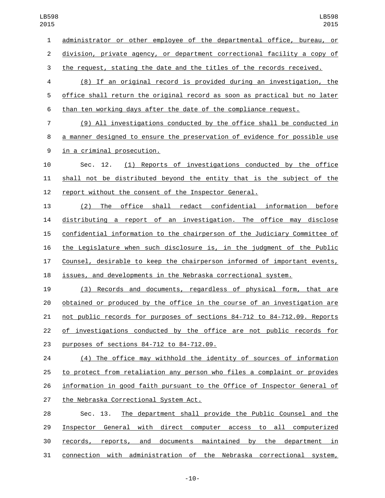administrator or other employee of the departmental office, bureau, or division, private agency, or department correctional facility a copy of

the request, stating the date and the titles of the records received.

 (8) If an original record is provided during an investigation, the office shall return the original record as soon as practical but no later than ten working days after the date of the compliance request.

 (9) All investigations conducted by the office shall be conducted in a manner designed to ensure the preservation of evidence for possible use 9 in a criminal prosecution.

 Sec. 12. (1) Reports of investigations conducted by the office shall not be distributed beyond the entity that is the subject of the report without the consent of the Inspector General.

 (2) The office shall redact confidential information before distributing a report of an investigation. The office may disclose confidential information to the chairperson of the Judiciary Committee of the Legislature when such disclosure is, in the judgment of the Public Counsel, desirable to keep the chairperson informed of important events, issues, and developments in the Nebraska correctional system.

 (3) Records and documents, regardless of physical form, that are obtained or produced by the office in the course of an investigation are not public records for purposes of sections 84-712 to 84-712.09. Reports of investigations conducted by the office are not public records for 23 purposes of sections 84-712 to 84-712.09.

 (4) The office may withhold the identity of sources of information to protect from retaliation any person who files a complaint or provides information in good faith pursuant to the Office of Inspector General of 27 the Nebraska Correctional System Act.

 Sec. 13. The department shall provide the Public Counsel and the Inspector General with direct computer access to all computerized records, reports, and documents maintained by the department in connection with administration of the Nebraska correctional system,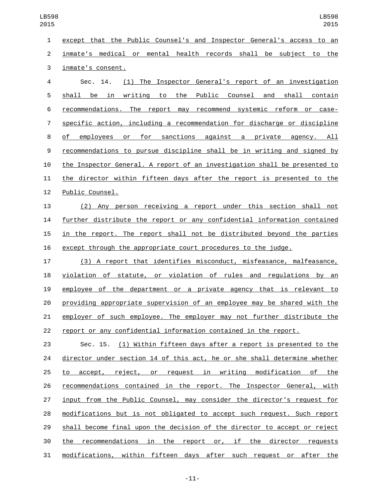| 015            | 2015                                                                      |
|----------------|---------------------------------------------------------------------------|
| $\mathbf{1}$   | except that the Public Counsel's and Inspector General's access to an     |
| $\overline{2}$ | inmate's medical or mental health records shall be subject to the         |
| 3              | inmate's consent.                                                         |
| 4              | (1) The Inspector General's report of an investigation<br>Sec. 14.        |
| 5              | shall be in writing to the<br>Public Counsel and shall contain            |
| 6              | recommendations. The report may recommend systemic reform or case-        |
| 7              | specific action, including a recommendation for discharge or discipline   |
| 8              | employees or for sanctions against a private agency. All<br>of            |
| 9              | recommendations to pursue discipline shall be in writing and signed by    |
| 10             | the Inspector General. A report of an investigation shall be presented to |
| 11             | the director within fifteen days after the report is presented to the     |
| 12             | Public Counsel.                                                           |
| 13             | (2) Any person receiving a report under this section shall<br>not         |
| 14             | further distribute the report or any confidential information contained   |
| 15             | in the report. The report shall not be distributed beyond the parties     |
| 16             | except through the appropriate court procedures to the judge.             |
| 17             | (3) A report that identifies misconduct, misfeasance, malfeasance,        |
| 18             | violation of statute, or violation of rules and regulations by an         |
| 19             | employee of the department or a private agency that is relevant to        |
| 20             | providing appropriate supervision of an employee may be shared with the   |
| 21             | employer of such employee. The employer may not further distribute the    |
| 22             | report or any confidential information contained in the report.           |
| 23             | Sec. 15. (1) Within fifteen days after a report is presented to the       |
| 24             | director under section 14 of this act, he or she shall determine whether  |
| 25             | to accept, reject, or request in writing modification of the              |
| 26             | recommendations contained in the report. The Inspector General, with      |
| 27             | input from the Public Counsel, may consider the director's request for    |
| 28             | modifications but is not obligated to accept such request. Such report    |
| 29             | shall become final upon the decision of the director to accept or reject  |
| 30             | the recommendations in the report or, if the director requests            |

modifications, within fifteen days after such request or after the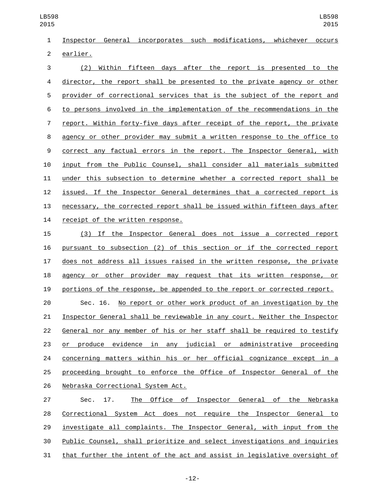LB598 

 Inspector General incorporates such modifications, whichever occurs 2 earlier.

 (2) Within fifteen days after the report is presented to the director, the report shall be presented to the private agency or other provider of correctional services that is the subject of the report and to persons involved in the implementation of the recommendations in the report. Within forty-five days after receipt of the report, the private agency or other provider may submit a written response to the office to correct any factual errors in the report. The Inspector General, with input from the Public Counsel, shall consider all materials submitted under this subsection to determine whether a corrected report shall be issued. If the Inspector General determines that a corrected report is necessary, the corrected report shall be issued within fifteen days after 14 receipt of the written response.

 (3) If the Inspector General does not issue a corrected report pursuant to subsection (2) of this section or if the corrected report does not address all issues raised in the written response, the private agency or other provider may request that its written response, or portions of the response, be appended to the report or corrected report.

 Sec. 16. No report or other work product of an investigation by the Inspector General shall be reviewable in any court. Neither the Inspector General nor any member of his or her staff shall be required to testify or produce evidence in any judicial or administrative proceeding concerning matters within his or her official cognizance except in a proceeding brought to enforce the Office of Inspector General of the 26 Nebraska Correctional System Act.

 Sec. 17. The Office of Inspector General of the Nebraska Correctional System Act does not require the Inspector General to investigate all complaints. The Inspector General, with input from the Public Counsel, shall prioritize and select investigations and inquiries that further the intent of the act and assist in legislative oversight of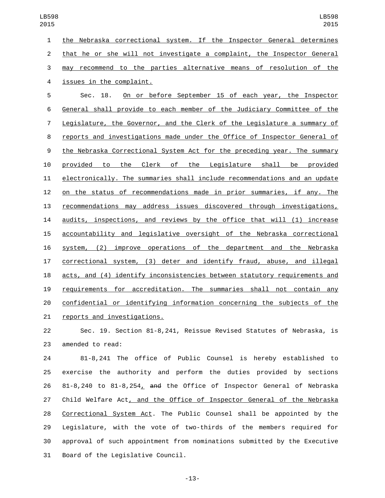the Nebraska correctional system. If the Inspector General determines that he or she will not investigate a complaint, the Inspector General may recommend to the parties alternative means of resolution of the 4 issues in the complaint.

 Sec. 18. On or before September 15 of each year, the Inspector General shall provide to each member of the Judiciary Committee of the Legislature, the Governor, and the Clerk of the Legislature a summary of reports and investigations made under the Office of Inspector General of the Nebraska Correctional System Act for the preceding year. The summary provided to the Clerk of the Legislature shall be provided electronically. The summaries shall include recommendations and an update on the status of recommendations made in prior summaries, if any. The recommendations may address issues discovered through investigations, audits, inspections, and reviews by the office that will (1) increase accountability and legislative oversight of the Nebraska correctional system, (2) improve operations of the department and the Nebraska correctional system, (3) deter and identify fraud, abuse, and illegal acts, and (4) identify inconsistencies between statutory requirements and requirements for accreditation. The summaries shall not contain any confidential or identifying information concerning the subjects of the 21 reports and investigations.

 Sec. 19. Section 81-8,241, Reissue Revised Statutes of Nebraska, is 23 amended to read:

 81-8,241 The office of Public Counsel is hereby established to exercise the authority and perform the duties provided by sections 81-8,240 to 81-8,254, and the Office of Inspector General of Nebraska Child Welfare Act, and the Office of Inspector General of the Nebraska Correctional System Act. The Public Counsel shall be appointed by the Legislature, with the vote of two-thirds of the members required for approval of such appointment from nominations submitted by the Executive 31 Board of the Legislative Council.

-13-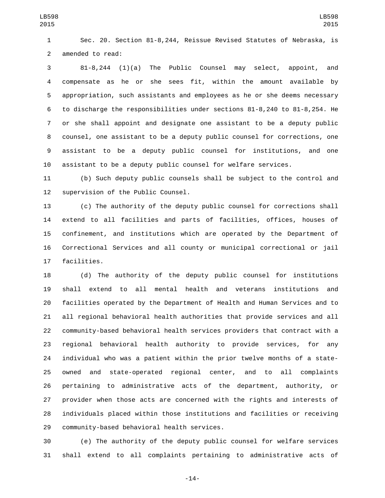Sec. 20. Section 81-8,244, Reissue Revised Statutes of Nebraska, is 2 amended to read:

 81-8,244 (1)(a) The Public Counsel may select, appoint, and compensate as he or she sees fit, within the amount available by appropriation, such assistants and employees as he or she deems necessary to discharge the responsibilities under sections 81-8,240 to 81-8,254. He or she shall appoint and designate one assistant to be a deputy public counsel, one assistant to be a deputy public counsel for corrections, one assistant to be a deputy public counsel for institutions, and one assistant to be a deputy public counsel for welfare services.

 (b) Such deputy public counsels shall be subject to the control and 12 supervision of the Public Counsel.

 (c) The authority of the deputy public counsel for corrections shall extend to all facilities and parts of facilities, offices, houses of confinement, and institutions which are operated by the Department of Correctional Services and all county or municipal correctional or jail 17 facilities.

 (d) The authority of the deputy public counsel for institutions shall extend to all mental health and veterans institutions and facilities operated by the Department of Health and Human Services and to all regional behavioral health authorities that provide services and all community-based behavioral health services providers that contract with a regional behavioral health authority to provide services, for any individual who was a patient within the prior twelve months of a state- owned and state-operated regional center, and to all complaints pertaining to administrative acts of the department, authority, or provider when those acts are concerned with the rights and interests of individuals placed within those institutions and facilities or receiving 29 community-based behavioral health services.

 (e) The authority of the deputy public counsel for welfare services shall extend to all complaints pertaining to administrative acts of

-14-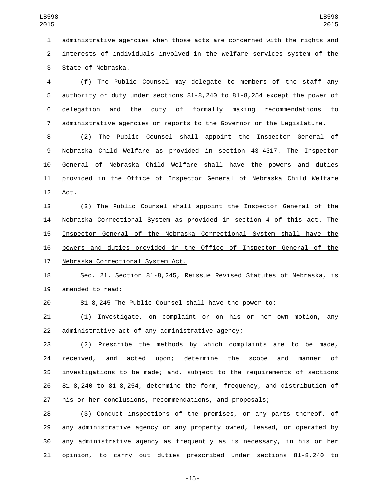administrative agencies when those acts are concerned with the rights and interests of individuals involved in the welfare services system of the 3 State of Nebraska.

 (f) The Public Counsel may delegate to members of the staff any authority or duty under sections 81-8,240 to 81-8,254 except the power of delegation and the duty of formally making recommendations to administrative agencies or reports to the Governor or the Legislature.

 (2) The Public Counsel shall appoint the Inspector General of Nebraska Child Welfare as provided in section 43-4317. The Inspector General of Nebraska Child Welfare shall have the powers and duties provided in the Office of Inspector General of Nebraska Child Welfare 12 Act.

 (3) The Public Counsel shall appoint the Inspector General of the Nebraska Correctional System as provided in section 4 of this act. The Inspector General of the Nebraska Correctional System shall have the powers and duties provided in the Office of Inspector General of the 17 Nebraska Correctional System Act.

 Sec. 21. Section 81-8,245, Reissue Revised Statutes of Nebraska, is 19 amended to read:

81-8,245 The Public Counsel shall have the power to:

 (1) Investigate, on complaint or on his or her own motion, any 22 administrative act of any administrative agency;

 (2) Prescribe the methods by which complaints are to be made, received, and acted upon; determine the scope and manner of investigations to be made; and, subject to the requirements of sections 81-8,240 to 81-8,254, determine the form, frequency, and distribution of his or her conclusions, recommendations, and proposals;

 (3) Conduct inspections of the premises, or any parts thereof, of any administrative agency or any property owned, leased, or operated by any administrative agency as frequently as is necessary, in his or her opinion, to carry out duties prescribed under sections 81-8,240 to

-15-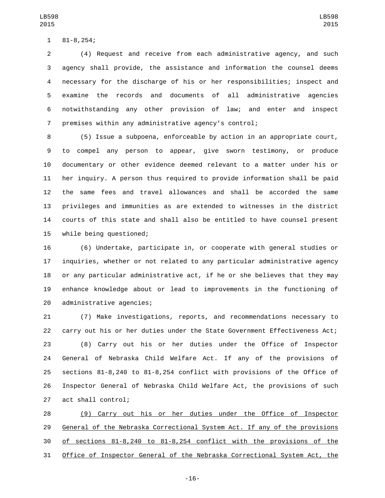81-8,254;1

 (4) Request and receive from each administrative agency, and such agency shall provide, the assistance and information the counsel deems necessary for the discharge of his or her responsibilities; inspect and examine the records and documents of all administrative agencies notwithstanding any other provision of law; and enter and inspect premises within any administrative agency's control;

 (5) Issue a subpoena, enforceable by action in an appropriate court, to compel any person to appear, give sworn testimony, or produce documentary or other evidence deemed relevant to a matter under his or her inquiry. A person thus required to provide information shall be paid the same fees and travel allowances and shall be accorded the same privileges and immunities as are extended to witnesses in the district courts of this state and shall also be entitled to have counsel present 15 while being questioned;

 (6) Undertake, participate in, or cooperate with general studies or inquiries, whether or not related to any particular administrative agency or any particular administrative act, if he or she believes that they may enhance knowledge about or lead to improvements in the functioning of 20 administrative agencies;

 (7) Make investigations, reports, and recommendations necessary to carry out his or her duties under the State Government Effectiveness Act; (8) Carry out his or her duties under the Office of Inspector General of Nebraska Child Welfare Act. If any of the provisions of sections 81-8,240 to 81-8,254 conflict with provisions of the Office of Inspector General of Nebraska Child Welfare Act, the provisions of such 27 act shall control;

 (9) Carry out his or her duties under the Office of Inspector General of the Nebraska Correctional System Act. If any of the provisions of sections 81-8,240 to 81-8,254 conflict with the provisions of the Office of Inspector General of the Nebraska Correctional System Act, the

-16-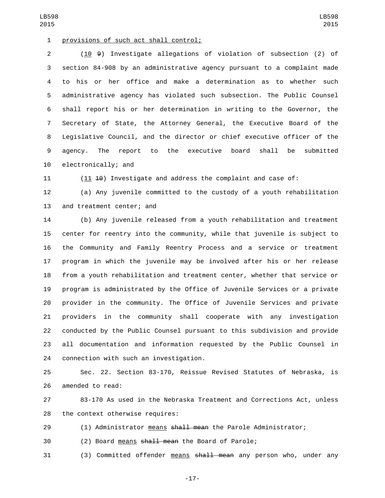1 provisions of such act shall control;

 (10 9) Investigate allegations of violation of subsection (2) of section 84-908 by an administrative agency pursuant to a complaint made to his or her office and make a determination as to whether such administrative agency has violated such subsection. The Public Counsel shall report his or her determination in writing to the Governor, the Secretary of State, the Attorney General, the Executive Board of the Legislative Council, and the director or chief executive officer of the agency. The report to the executive board shall be submitted 10 electronically; and

11 (11  $\pm$ 0) Investigate and address the complaint and case of:

 (a) Any juvenile committed to the custody of a youth rehabilitation 13 and treatment center; and

 (b) Any juvenile released from a youth rehabilitation and treatment center for reentry into the community, while that juvenile is subject to the Community and Family Reentry Process and a service or treatment program in which the juvenile may be involved after his or her release from a youth rehabilitation and treatment center, whether that service or program is administrated by the Office of Juvenile Services or a private provider in the community. The Office of Juvenile Services and private providers in the community shall cooperate with any investigation conducted by the Public Counsel pursuant to this subdivision and provide all documentation and information requested by the Public Counsel in 24 connection with such an investigation.

 Sec. 22. Section 83-170, Reissue Revised Statutes of Nebraska, is 26 amended to read:

 83-170 As used in the Nebraska Treatment and Corrections Act, unless 28 the context otherwise requires:

29 (1) Administrator means shall mean the Parole Administrator;

(2) Board means shall mean the Board of Parole;

31 (3) Committed offender means shall mean any person who, under any

-17-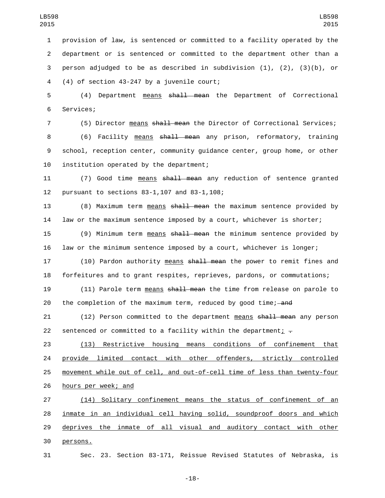provision of law, is sentenced or committed to a facility operated by the department or is sentenced or committed to the department other than a person adjudged to be as described in subdivision (1), (2), (3)(b), or  $(4)$  of section 43-247 by a juvenile court;

5 (4) Department means shall mean the Department of Correctional 6 Services;

7 (5) Director means shall mean the Director of Correctional Services;

8 (6) Facility means shall mean any prison, reformatory, training 9 school, reception center, community guidance center, group home, or other 10 institution operated by the department;

11 (7) Good time means shall mean any reduction of sentence granted 12 pursuant to sections 83-1,107 and 83-1,108;

13 (8) Maximum term means shall mean the maximum sentence provided by 14 law or the maximum sentence imposed by a court, whichever is shorter;

15 (9) Minimum term means shall mean the minimum sentence provided by 16 law or the minimum sentence imposed by a court, whichever is longer;

17 (10) Pardon authority means shall mean the power to remit fines and 18 forfeitures and to grant respites, reprieves, pardons, or commutations;

19 (11) Parole term means shall mean the time from release on parole to 20 the completion of the maximum term, reduced by good time;—and

21 (12) Person committed to the department means shall mean any person 22 sentenced or committed to a facility within the department;  $\frac{1}{1}$ 

 (13) Restrictive housing means conditions of confinement that provide limited contact with other offenders, strictly controlled movement while out of cell, and out-of-cell time of less than twenty-four 26 hours per week; and

27 (14) Solitary confinement means the status of confinement of an 28 inmate in an individual cell having solid, soundproof doors and which 29 deprives the inmate of all visual and auditory contact with other 30 persons.

31 Sec. 23. Section 83-171, Reissue Revised Statutes of Nebraska, is

-18-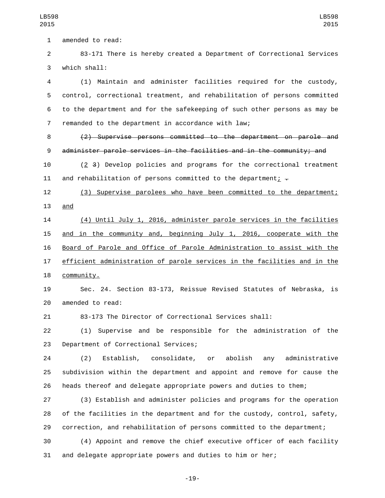1 amended to read:

 83-171 There is hereby created a Department of Correctional Services which shall:3

 (1) Maintain and administer facilities required for the custody, control, correctional treatment, and rehabilitation of persons committed to the department and for the safekeeping of such other persons as may be 7 remanded to the department in accordance with law;

 (2) Supervise persons committed to the department on parole and administer parole services in the facilities and in the community; and

 (2 3) Develop policies and programs for the correctional treatment 11 and rehabilitation of persons committed to the department;  $\overline{z}$ 

 (3) Supervise parolees who have been committed to the department; and

 (4) Until July 1, 2016, administer parole services in the facilities and in the community and, beginning July 1, 2016, cooperate with the Board of Parole and Office of Parole Administration to assist with the efficient administration of parole services in the facilities and in the 18 community.

 Sec. 24. Section 83-173, Reissue Revised Statutes of Nebraska, is 20 amended to read:

83-173 The Director of Correctional Services shall:

 (1) Supervise and be responsible for the administration of the 23 Department of Correctional Services;

 (2) Establish, consolidate, or abolish any administrative subdivision within the department and appoint and remove for cause the heads thereof and delegate appropriate powers and duties to them;

 (3) Establish and administer policies and programs for the operation of the facilities in the department and for the custody, control, safety, correction, and rehabilitation of persons committed to the department;

 (4) Appoint and remove the chief executive officer of each facility and delegate appropriate powers and duties to him or her;

-19-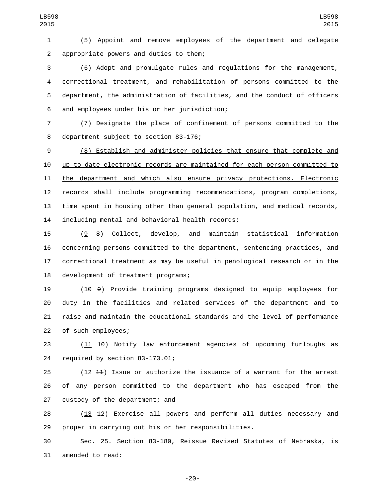(5) Appoint and remove employees of the department and delegate appropriate powers and duties to them;2

 (6) Adopt and promulgate rules and regulations for the management, correctional treatment, and rehabilitation of persons committed to the department, the administration of facilities, and the conduct of officers and employees under his or her jurisdiction;6

 (7) Designate the place of confinement of persons committed to the 8 department subject to section 83-176;

 (8) Establish and administer policies that ensure that complete and up-to-date electronic records are maintained for each person committed to the department and which also ensure privacy protections. Electronic records shall include programming recommendations, program completions, 13 time spent in housing other than general population, and medical records, 14 including mental and behavioral health records;

 (9 8) Collect, develop, and maintain statistical information concerning persons committed to the department, sentencing practices, and correctional treatment as may be useful in penological research or in the 18 development of treatment programs;

 (10 9) Provide training programs designed to equip employees for duty in the facilities and related services of the department and to raise and maintain the educational standards and the level of performance 22 of such employees;

23 (11 10) Notify law enforcement agencies of upcoming furloughs as 24 required by section 83-173.01;

 (12 11) Issue or authorize the issuance of a warrant for the arrest of any person committed to the department who has escaped from the 27 custody of the department; and

 (13 12) Exercise all powers and perform all duties necessary and proper in carrying out his or her responsibilities.

 Sec. 25. Section 83-180, Reissue Revised Statutes of Nebraska, is 31 amended to read:

-20-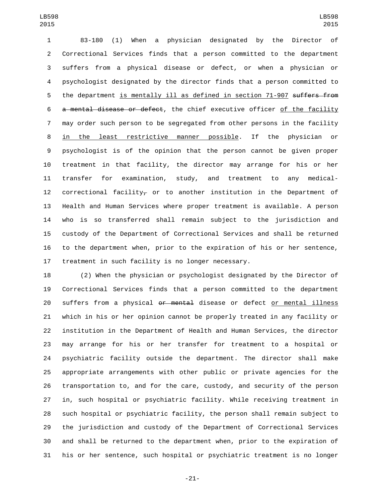83-180 (1) When a physician designated by the Director of Correctional Services finds that a person committed to the department suffers from a physical disease or defect, or when a physician or psychologist designated by the director finds that a person committed to 5 the department is mentally ill as defined in section 71-907 suffers from a mental disease or defect, the chief executive officer of the facility may order such person to be segregated from other persons in the facility 8 in the least restrictive manner possible. If the physician or psychologist is of the opinion that the person cannot be given proper treatment in that facility, the director may arrange for his or her transfer for examination, study, and treatment to any medical-12 correctional facility<sub> $\tau$ </sub> or to another institution in the Department of Health and Human Services where proper treatment is available. A person who is so transferred shall remain subject to the jurisdiction and custody of the Department of Correctional Services and shall be returned to the department when, prior to the expiration of his or her sentence, treatment in such facility is no longer necessary.

 (2) When the physician or psychologist designated by the Director of Correctional Services finds that a person committed to the department 20 suffers from a physical or mental disease or defect or mental illness which in his or her opinion cannot be properly treated in any facility or institution in the Department of Health and Human Services, the director may arrange for his or her transfer for treatment to a hospital or psychiatric facility outside the department. The director shall make appropriate arrangements with other public or private agencies for the transportation to, and for the care, custody, and security of the person in, such hospital or psychiatric facility. While receiving treatment in such hospital or psychiatric facility, the person shall remain subject to the jurisdiction and custody of the Department of Correctional Services and shall be returned to the department when, prior to the expiration of his or her sentence, such hospital or psychiatric treatment is no longer

-21-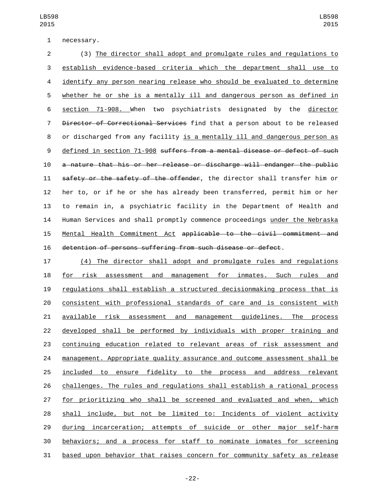1 necessary.

 (3) The director shall adopt and promulgate rules and regulations to establish evidence-based criteria which the department shall use to identify any person nearing release who should be evaluated to determine whether he or she is a mentally ill and dangerous person as defined in section 71-908. When two psychiatrists designated by the director Director of Correctional Services find that a person about to be released or discharged from any facility is a mentally ill and dangerous person as defined in section 71-908 suffers from a mental disease or defect of such a nature that his or her release or discharge will endanger the public 11 safety or the safety of the offender, the director shall transfer him or her to, or if he or she has already been transferred, permit him or her to remain in, a psychiatric facility in the Department of Health and Human Services and shall promptly commence proceedings under the Nebraska Mental Health Commitment Act applicable to the civil commitment and detention of persons suffering from such disease or defect.

 (4) The director shall adopt and promulgate rules and regulations 18 for risk assessment and management for inmates. Such rules and regulations shall establish a structured decisionmaking process that is consistent with professional standards of care and is consistent with available risk assessment and management guidelines. The process developed shall be performed by individuals with proper training and continuing education related to relevant areas of risk assessment and management. Appropriate quality assurance and outcome assessment shall be included to ensure fidelity to the process and address relevant challenges. The rules and regulations shall establish a rational process for prioritizing who shall be screened and evaluated and when, which shall include, but not be limited to: Incidents of violent activity during incarceration; attempts of suicide or other major self-harm behaviors; and a process for staff to nominate inmates for screening based upon behavior that raises concern for community safety as release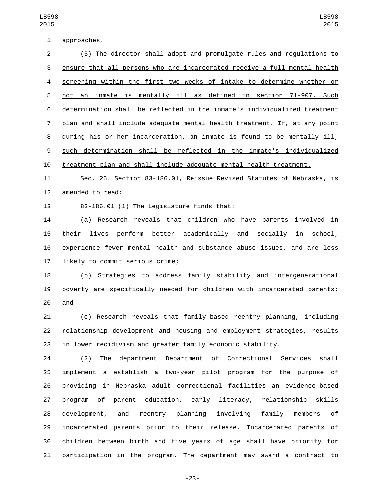1 approaches.

 (5) The director shall adopt and promulgate rules and regulations to ensure that all persons who are incarcerated receive a full mental health screening within the first two weeks of intake to determine whether or not an inmate is mentally ill as defined in section 71-907. Such determination shall be reflected in the inmate's individualized treatment plan and shall include adequate mental health treatment. If, at any point during his or her incarceration, an inmate is found to be mentally ill, such determination shall be reflected in the inmate's individualized treatment plan and shall include adequate mental health treatment.

 Sec. 26. Section 83-186.01, Reissue Revised Statutes of Nebraska, is 12 amended to read:

13 83-186.01 (1) The Legislature finds that:

 (a) Research reveals that children who have parents involved in their lives perform better academically and socially in school, experience fewer mental health and substance abuse issues, and are less 17 likely to commit serious crime;

 (b) Strategies to address family stability and intergenerational poverty are specifically needed for children with incarcerated parents; 20 and

 (c) Research reveals that family-based reentry planning, including relationship development and housing and employment strategies, results in lower recidivism and greater family economic stability.

 (2) The department Department of Correctional Services shall 25 implement a establish a two-year pilot program for the purpose of providing in Nebraska adult correctional facilities an evidence-based program of parent education, early literacy, relationship skills development, and reentry planning involving family members of incarcerated parents prior to their release. Incarcerated parents of children between birth and five years of age shall have priority for participation in the program. The department may award a contract to

-23-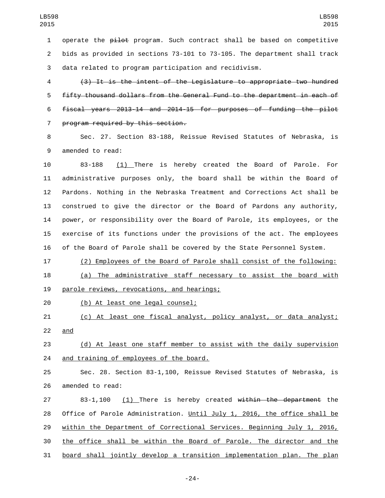1 operate the  $p\text{-}1\text{-}0$  program. Such contract shall be based on competitive bids as provided in sections 73-101 to 73-105. The department shall track data related to program participation and recidivism.

 (3) It is the intent of the Legislature to appropriate two hundred fifty thousand dollars from the General Fund to the department in each of fiscal years 2013-14 and 2014-15 for purposes of funding the pilot 7 program required by this section.

 Sec. 27. Section 83-188, Reissue Revised Statutes of Nebraska, is 9 amended to read:

 83-188 (1) There is hereby created the Board of Parole. For administrative purposes only, the board shall be within the Board of Pardons. Nothing in the Nebraska Treatment and Corrections Act shall be construed to give the director or the Board of Pardons any authority, power, or responsibility over the Board of Parole, its employees, or the exercise of its functions under the provisions of the act. The employees of the Board of Parole shall be covered by the State Personnel System.

(2) Employees of the Board of Parole shall consist of the following:

 (a) The administrative staff necessary to assist the board with 19 parole reviews, revocations, and hearings;

(b) At least one legal counsel;20

 (c) At least one fiscal analyst, policy analyst, or data analyst; 22 and

 (d) At least one staff member to assist with the daily supervision 24 and training of employees of the board.

 Sec. 28. Section 83-1,100, Reissue Revised Statutes of Nebraska, is 26 amended to read:

 83-1,100 (1) There is hereby created within the department the Office of Parole Administration. Until July 1, 2016, the office shall be 29 within the Department of Correctional Services. Beginning July 1, 2016, the office shall be within the Board of Parole. The director and the board shall jointly develop a transition implementation plan. The plan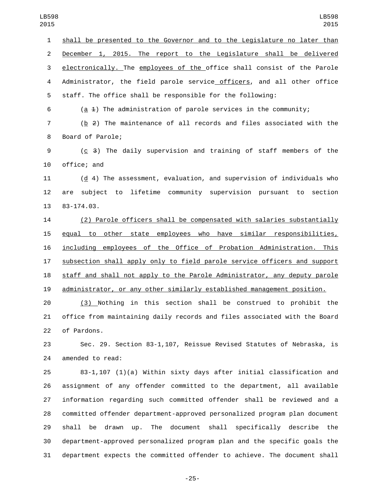shall be presented to the Governor and to the Legislature no later than December 1, 2015. The report to the Legislature shall be delivered electronically. The employees of the office shall consist of the Parole Administrator, the field parole service officers, and all other office staff. The office shall be responsible for the following:

(a 1) The administration of parole services in the community;

 (b 2) The maintenance of all records and files associated with the 8 Board of Parole;

 (c 3) The daily supervision and training of staff members of the 10 office: and

 (d 4) The assessment, evaluation, and supervision of individuals who are subject to lifetime community supervision pursuant to section 13 83-174.03.

 (2) Parole officers shall be compensated with salaries substantially equal to other state employees who have similar responsibilities, including employees of the Office of Probation Administration. This subsection shall apply only to field parole service officers and support staff and shall not apply to the Parole Administrator, any deputy parole administrator, or any other similarly established management position.

 (3) Nothing in this section shall be construed to prohibit the office from maintaining daily records and files associated with the Board 22 of Pardons.

 Sec. 29. Section 83-1,107, Reissue Revised Statutes of Nebraska, is 24 amended to read:

 83-1,107 (1)(a) Within sixty days after initial classification and assignment of any offender committed to the department, all available information regarding such committed offender shall be reviewed and a committed offender department-approved personalized program plan document shall be drawn up. The document shall specifically describe the department-approved personalized program plan and the specific goals the department expects the committed offender to achieve. The document shall

-25-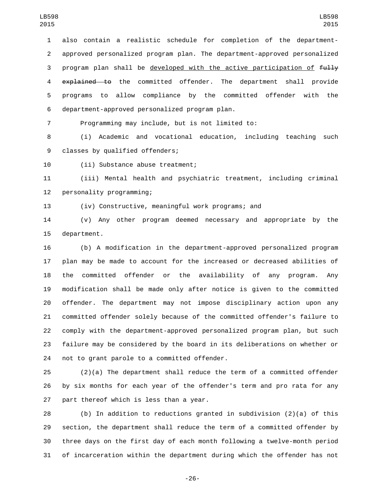also contain a realistic schedule for completion of the department- approved personalized program plan. The department-approved personalized 3 program plan shall be developed with the active participation of  $f_{\text{t}}$ 4 explained to the committed offender. The department shall provide programs to allow compliance by the committed offender with the department-approved personalized program plan.6

Programming may include, but is not limited to:

 (i) Academic and vocational education, including teaching such 9 classes by qualified offenders;

10 (ii) Substance abuse treatment;

 (iii) Mental health and psychiatric treatment, including criminal 12 personality programming;

(iv) Constructive, meaningful work programs; and

 (v) Any other program deemed necessary and appropriate by the 15 department.

 (b) A modification in the department-approved personalized program plan may be made to account for the increased or decreased abilities of the committed offender or the availability of any program. Any modification shall be made only after notice is given to the committed offender. The department may not impose disciplinary action upon any committed offender solely because of the committed offender's failure to comply with the department-approved personalized program plan, but such failure may be considered by the board in its deliberations on whether or 24 not to grant parole to a committed offender.

 (2)(a) The department shall reduce the term of a committed offender by six months for each year of the offender's term and pro rata for any 27 part thereof which is less than a year.

 (b) In addition to reductions granted in subdivision (2)(a) of this section, the department shall reduce the term of a committed offender by three days on the first day of each month following a twelve-month period of incarceration within the department during which the offender has not

-26-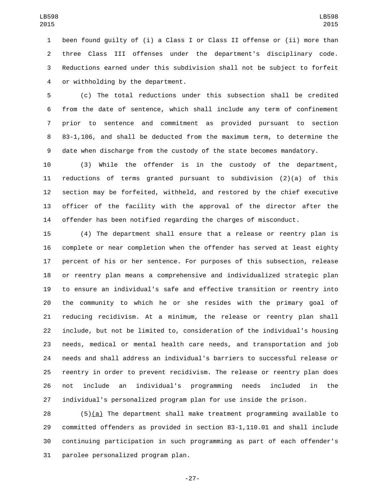been found guilty of (i) a Class I or Class II offense or (ii) more than three Class III offenses under the department's disciplinary code. Reductions earned under this subdivision shall not be subject to forfeit 4 or withholding by the department.

 (c) The total reductions under this subsection shall be credited from the date of sentence, which shall include any term of confinement prior to sentence and commitment as provided pursuant to section 83-1,106, and shall be deducted from the maximum term, to determine the date when discharge from the custody of the state becomes mandatory.

 (3) While the offender is in the custody of the department, reductions of terms granted pursuant to subdivision (2)(a) of this section may be forfeited, withheld, and restored by the chief executive officer of the facility with the approval of the director after the offender has been notified regarding the charges of misconduct.

 (4) The department shall ensure that a release or reentry plan is complete or near completion when the offender has served at least eighty percent of his or her sentence. For purposes of this subsection, release or reentry plan means a comprehensive and individualized strategic plan to ensure an individual's safe and effective transition or reentry into the community to which he or she resides with the primary goal of reducing recidivism. At a minimum, the release or reentry plan shall include, but not be limited to, consideration of the individual's housing needs, medical or mental health care needs, and transportation and job needs and shall address an individual's barriers to successful release or reentry in order to prevent recidivism. The release or reentry plan does not include an individual's programming needs included in the individual's personalized program plan for use inside the prison.

 (5)(a) The department shall make treatment programming available to committed offenders as provided in section 83-1,110.01 and shall include continuing participation in such programming as part of each offender's 31 parolee personalized program plan.

-27-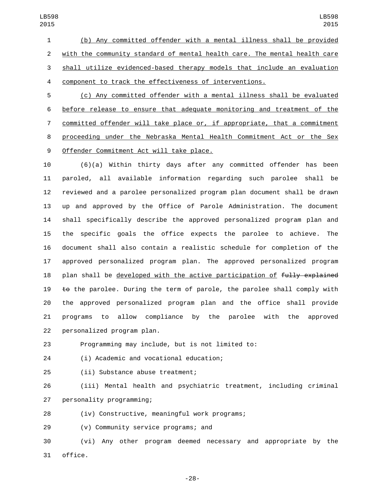(b) Any committed offender with a mental illness shall be provided with the community standard of mental health care. The mental health care shall utilize evidenced-based therapy models that include an evaluation component to track the effectiveness of interventions.

 (c) Any committed offender with a mental illness shall be evaluated before release to ensure that adequate monitoring and treatment of the committed offender will take place or, if appropriate, that a commitment proceeding under the Nebraska Mental Health Commitment Act or the Sex 9 Offender Commitment Act will take place.

 (6)(a) Within thirty days after any committed offender has been paroled, all available information regarding such parolee shall be reviewed and a parolee personalized program plan document shall be drawn up and approved by the Office of Parole Administration. The document shall specifically describe the approved personalized program plan and the specific goals the office expects the parolee to achieve. The document shall also contain a realistic schedule for completion of the approved personalized program plan. The approved personalized program 18 plan shall be developed with the active participation of fully explained  $\pm$ o the parolee. During the term of parole, the parolee shall comply with the approved personalized program plan and the office shall provide programs to allow compliance by the parolee with the approved 22 personalized program plan.

Programming may include, but is not limited to:

(i) Academic and vocational education;24

25 (ii) Substance abuse treatment;

 (iii) Mental health and psychiatric treatment, including criminal 27 personality programming;

(iv) Constructive, meaningful work programs;28

29 (v) Community service programs; and

 (vi) Any other program deemed necessary and appropriate by the 31 office.

-28-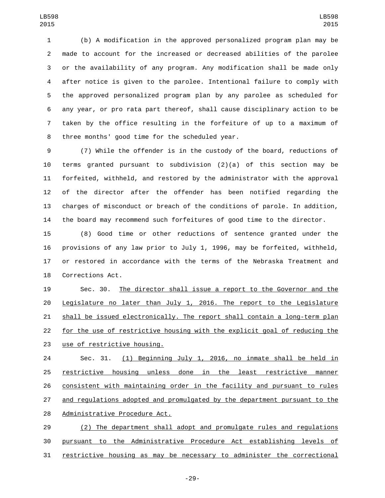(b) A modification in the approved personalized program plan may be made to account for the increased or decreased abilities of the parolee or the availability of any program. Any modification shall be made only after notice is given to the parolee. Intentional failure to comply with the approved personalized program plan by any parolee as scheduled for any year, or pro rata part thereof, shall cause disciplinary action to be taken by the office resulting in the forfeiture of up to a maximum of 8 three months' good time for the scheduled year.

 (7) While the offender is in the custody of the board, reductions of terms granted pursuant to subdivision (2)(a) of this section may be forfeited, withheld, and restored by the administrator with the approval of the director after the offender has been notified regarding the charges of misconduct or breach of the conditions of parole. In addition, the board may recommend such forfeitures of good time to the director.

 (8) Good time or other reductions of sentence granted under the provisions of any law prior to July 1, 1996, may be forfeited, withheld, or restored in accordance with the terms of the Nebraska Treatment and 18 Corrections Act.

 Sec. 30. The director shall issue a report to the Governor and the Legislature no later than July 1, 2016. The report to the Legislature shall be issued electronically. The report shall contain a long-term plan for the use of restrictive housing with the explicit goal of reducing the 23 use of restrictive housing.

 Sec. 31. (1) Beginning July 1, 2016, no inmate shall be held in restrictive housing unless done in the least restrictive manner consistent with maintaining order in the facility and pursuant to rules and regulations adopted and promulgated by the department pursuant to the 28 Administrative Procedure Act.

 (2) The department shall adopt and promulgate rules and regulations pursuant to the Administrative Procedure Act establishing levels of restrictive housing as may be necessary to administer the correctional

-29-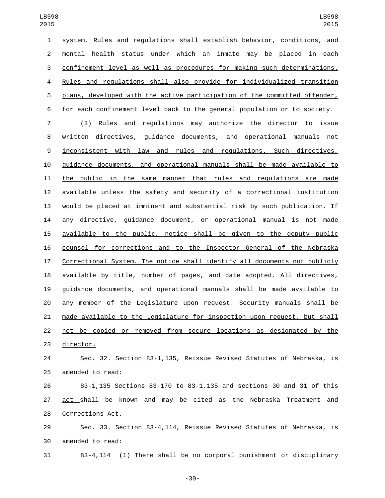system. Rules and regulations shall establish behavior, conditions, and mental health status under which an inmate may be placed in each confinement level as well as procedures for making such determinations. Rules and regulations shall also provide for individualized transition plans, developed with the active participation of the committed offender, for each confinement level back to the general population or to society. (3) Rules and regulations may authorize the director to issue written directives, guidance documents, and operational manuals not inconsistent with law and rules and regulations. Such directives, guidance documents, and operational manuals shall be made available to the public in the same manner that rules and regulations are made available unless the safety and security of a correctional institution would be placed at imminent and substantial risk by such publication. If any directive, guidance document, or operational manual is not made available to the public, notice shall be given to the deputy public counsel for corrections and to the Inspector General of the Nebraska Correctional System. The notice shall identify all documents not publicly available by title, number of pages, and date adopted. All directives, guidance documents, and operational manuals shall be made available to any member of the Legislature upon request. Security manuals shall be made available to the Legislature for inspection upon request, but shall not be copied or removed from secure locations as designated by the 23 director. Sec. 32. Section 83-1,135, Reissue Revised Statutes of Nebraska, is

25 amended to read:

 83-1,135 Sections 83-170 to 83-1,135 and sections 30 and 31 of this act shall be known and may be cited as the Nebraska Treatment and 28 Corrections Act.

 Sec. 33. Section 83-4,114, Reissue Revised Statutes of Nebraska, is 30 amended to read:

83-4,114 (1) There shall be no corporal punishment or disciplinary

-30-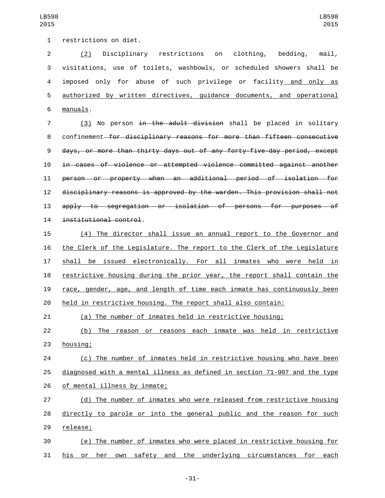1 restrictions on diet.

 (2) Disciplinary restrictions on clothing, bedding, mail, visitations, use of toilets, washbowls, or scheduled showers shall be imposed only for abuse of such privilege or facility and only as authorized by written directives, guidance documents, and operational manuals.6

7 (3) No person <del>in the adult division</del> shall be placed in solitary confinement for disciplinary reasons for more than fifteen consecutive days, or more than thirty days out of any forty-five-day period, except in cases of violence or attempted violence committed against another person or property when an additional period of isolation for disciplinary reasons is approved by the warden. This provision shall not apply to segregation or isolation of persons for purposes of 14 institutional control.

 (4) The director shall issue an annual report to the Governor and the Clerk of the Legislature. The report to the Clerk of the Legislature 17 shall be issued electronically. For all inmates who were held in restrictive housing during the prior year, the report shall contain the race, gender, age, and length of time each inmate has continuously been held in restrictive housing. The report shall also contain:

(a) The number of inmates held in restrictive housing;

22 (b) The reason or reasons each inmate was held in restrictive 23 housing;

 (c) The number of inmates held in restrictive housing who have been diagnosed with a mental illness as defined in section 71-907 and the type 26 of mental illness by inmate;

 (d) The number of inmates who were released from restrictive housing directly to parole or into the general public and the reason for such 29 release;

 (e) The number of inmates who were placed in restrictive housing for his or her own safety and the underlying circumstances for each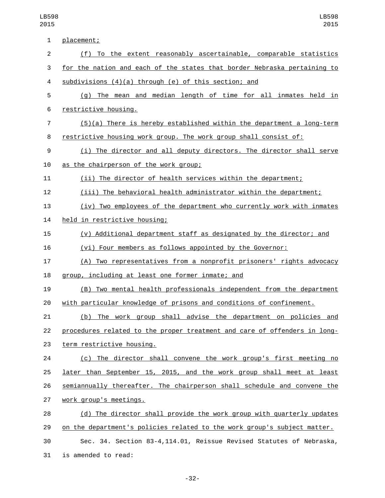| $\mathbf{1}$   | placement;                                                                |
|----------------|---------------------------------------------------------------------------|
| 2              | (f) To the extent reasonably ascertainable, comparable statistics         |
| 3              | for the nation and each of the states that border Nebraska pertaining to  |
| 4              | subdivisions $(4)(a)$ through $(e)$ of this section; and                  |
| 5              | (g) The mean and median length of time for all inmates held in            |
| 6              | restrictive housing.                                                      |
| $\overline{7}$ | $(5)(a)$ There is hereby established within the department a long-term    |
| 8              | restrictive housing work group. The work group shall consist of:          |
| 9              | (i) The director and all deputy directors. The director shall serve       |
| 10             | as the chairperson of the work group;                                     |
| 11             | (ii) The director of health services within the department;               |
| 12             | (iii) The behavioral health administrator within the department;          |
| 13             | (iv) Two employees of the department who currently work with inmates      |
| 14             | held in restrictive housing;                                              |
| 15             | (v) Additional department staff as designated by the director; and        |
| 16             | (vi) Four members as follows appointed by the Governor:                   |
| 17             | (A) Two representatives from a nonprofit prisoners' rights advocacy       |
| 18             | group, including at least one former inmate; and                          |
| 19             | (B) Two mental health professionals independent from the department       |
| 20             | with particular knowledge of prisons and conditions of confinement.       |
| 21             | The work group shall advise the department on policies and<br>(b)         |
| 22             | procedures related to the proper treatment and care of offenders in long- |
| 23             | term restrictive housing.                                                 |
| 24             | (c) The director shall convene the work group's first meeting no          |
| 25             | later than September 15, 2015, and the work group shall meet at least     |
| 26             | semiannually thereafter. The chairperson shall schedule and convene the   |
| 27             | work group's meetings.                                                    |
| 28             | (d) The director shall provide the work group with quarterly updates      |
| 29             | on the department's policies related to the work group's subject matter.  |
| 30             | Sec. 34. Section 83-4, 114.01, Reissue Revised Statutes of Nebraska,      |
| 31             | is amended to read:                                                       |

-32-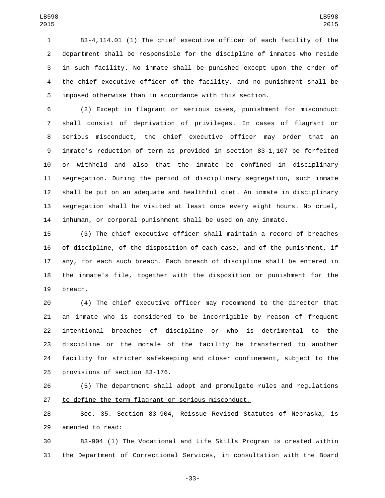83-4,114.01 (1) The chief executive officer of each facility of the department shall be responsible for the discipline of inmates who reside in such facility. No inmate shall be punished except upon the order of the chief executive officer of the facility, and no punishment shall be imposed otherwise than in accordance with this section.

 (2) Except in flagrant or serious cases, punishment for misconduct shall consist of deprivation of privileges. In cases of flagrant or serious misconduct, the chief executive officer may order that an inmate's reduction of term as provided in section 83-1,107 be forfeited or withheld and also that the inmate be confined in disciplinary segregation. During the period of disciplinary segregation, such inmate shall be put on an adequate and healthful diet. An inmate in disciplinary segregation shall be visited at least once every eight hours. No cruel, inhuman, or corporal punishment shall be used on any inmate.

 (3) The chief executive officer shall maintain a record of breaches of discipline, of the disposition of each case, and of the punishment, if any, for each such breach. Each breach of discipline shall be entered in the inmate's file, together with the disposition or punishment for the 19 breach.

 (4) The chief executive officer may recommend to the director that an inmate who is considered to be incorrigible by reason of frequent intentional breaches of discipline or who is detrimental to the discipline or the morale of the facility be transferred to another facility for stricter safekeeping and closer confinement, subject to the 25 provisions of section 83-176.

 (5) The department shall adopt and promulgate rules and regulations to define the term flagrant or serious misconduct.

 Sec. 35. Section 83-904, Reissue Revised Statutes of Nebraska, is 29 amended to read:

 83-904 (1) The Vocational and Life Skills Program is created within the Department of Correctional Services, in consultation with the Board

-33-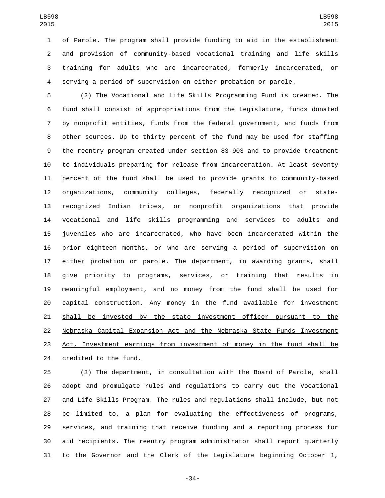of Parole. The program shall provide funding to aid in the establishment and provision of community-based vocational training and life skills training for adults who are incarcerated, formerly incarcerated, or serving a period of supervision on either probation or parole.

 (2) The Vocational and Life Skills Programming Fund is created. The fund shall consist of appropriations from the Legislature, funds donated by nonprofit entities, funds from the federal government, and funds from other sources. Up to thirty percent of the fund may be used for staffing the reentry program created under section 83-903 and to provide treatment to individuals preparing for release from incarceration. At least seventy percent of the fund shall be used to provide grants to community-based organizations, community colleges, federally recognized or state- recognized Indian tribes, or nonprofit organizations that provide vocational and life skills programming and services to adults and juveniles who are incarcerated, who have been incarcerated within the prior eighteen months, or who are serving a period of supervision on either probation or parole. The department, in awarding grants, shall give priority to programs, services, or training that results in meaningful employment, and no money from the fund shall be used for capital construction. Any money in the fund available for investment shall be invested by the state investment officer pursuant to the Nebraska Capital Expansion Act and the Nebraska State Funds Investment 23 Act. Investment earnings from investment of money in the fund shall be 24 credited to the fund.

 (3) The department, in consultation with the Board of Parole, shall adopt and promulgate rules and regulations to carry out the Vocational and Life Skills Program. The rules and regulations shall include, but not be limited to, a plan for evaluating the effectiveness of programs, services, and training that receive funding and a reporting process for aid recipients. The reentry program administrator shall report quarterly to the Governor and the Clerk of the Legislature beginning October 1,

-34-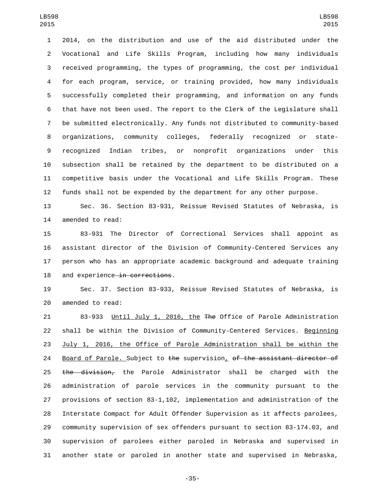2014, on the distribution and use of the aid distributed under the Vocational and Life Skills Program, including how many individuals received programming, the types of programming, the cost per individual for each program, service, or training provided, how many individuals successfully completed their programming, and information on any funds that have not been used. The report to the Clerk of the Legislature shall be submitted electronically. Any funds not distributed to community-based organizations, community colleges, federally recognized or state- recognized Indian tribes, or nonprofit organizations under this subsection shall be retained by the department to be distributed on a competitive basis under the Vocational and Life Skills Program. These funds shall not be expended by the department for any other purpose.

 Sec. 36. Section 83-931, Reissue Revised Statutes of Nebraska, is 14 amended to read:

 83-931 The Director of Correctional Services shall appoint as assistant director of the Division of Community-Centered Services any person who has an appropriate academic background and adequate training 18 and experience in corrections.

 Sec. 37. Section 83-933, Reissue Revised Statutes of Nebraska, is 20 amended to read:

 83-933 Until July 1, 2016, the The Office of Parole Administration shall be within the Division of Community-Centered Services. Beginning July 1, 2016, the Office of Parole Administration shall be within the 24 Board of Parole. Subject to the supervision, of the assistant director of 25 the division, the Parole Administrator shall be charged with the administration of parole services in the community pursuant to the provisions of section 83-1,102, implementation and administration of the Interstate Compact for Adult Offender Supervision as it affects parolees, community supervision of sex offenders pursuant to section 83-174.03, and supervision of parolees either paroled in Nebraska and supervised in another state or paroled in another state and supervised in Nebraska,

-35-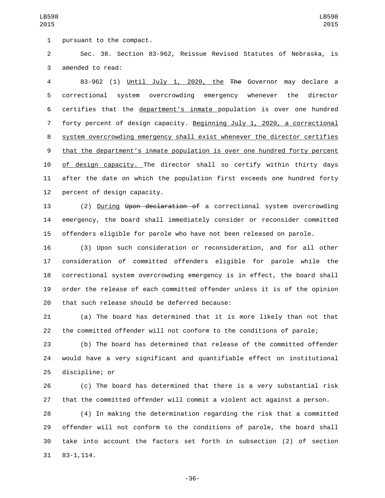Sec. 38. Section 83-962, Reissue Revised Statutes of Nebraska, is 3 amended to read:

 83-962 (1) Until July 1, 2020, the The Governor may declare a correctional system overcrowding emergency whenever the director certifies that the department's inmate population is over one hundred forty percent of design capacity. Beginning July 1, 2020, a correctional system overcrowding emergency shall exist whenever the director certifies that the department's inmate population is over one hundred forty percent of design capacity. The director shall so certify within thirty days after the date on which the population first exceeds one hundred forty percent of design capacity.

 (2) During Upon declaration of a correctional system overcrowding emergency, the board shall immediately consider or reconsider committed offenders eligible for parole who have not been released on parole.

 (3) Upon such consideration or reconsideration, and for all other consideration of committed offenders eligible for parole while the correctional system overcrowding emergency is in effect, the board shall order the release of each committed offender unless it is of the opinion 20 that such release should be deferred because:

 (a) The board has determined that it is more likely than not that the committed offender will not conform to the conditions of parole;

 (b) The board has determined that release of the committed offender would have a very significant and quantifiable effect on institutional 25 discipline; or

 (c) The board has determined that there is a very substantial risk that the committed offender will commit a violent act against a person.

 (4) In making the determination regarding the risk that a committed offender will not conform to the conditions of parole, the board shall take into account the factors set forth in subsection (2) of section 83-1,114.31

-36-